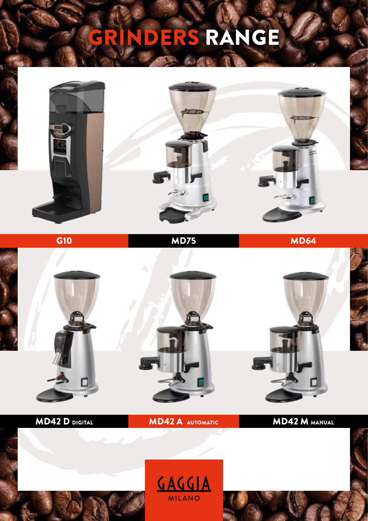## GRINDERS RANGE





MD42 D DIGITAL **MD42 A AUTOMATIC** MD42 M MANUAL